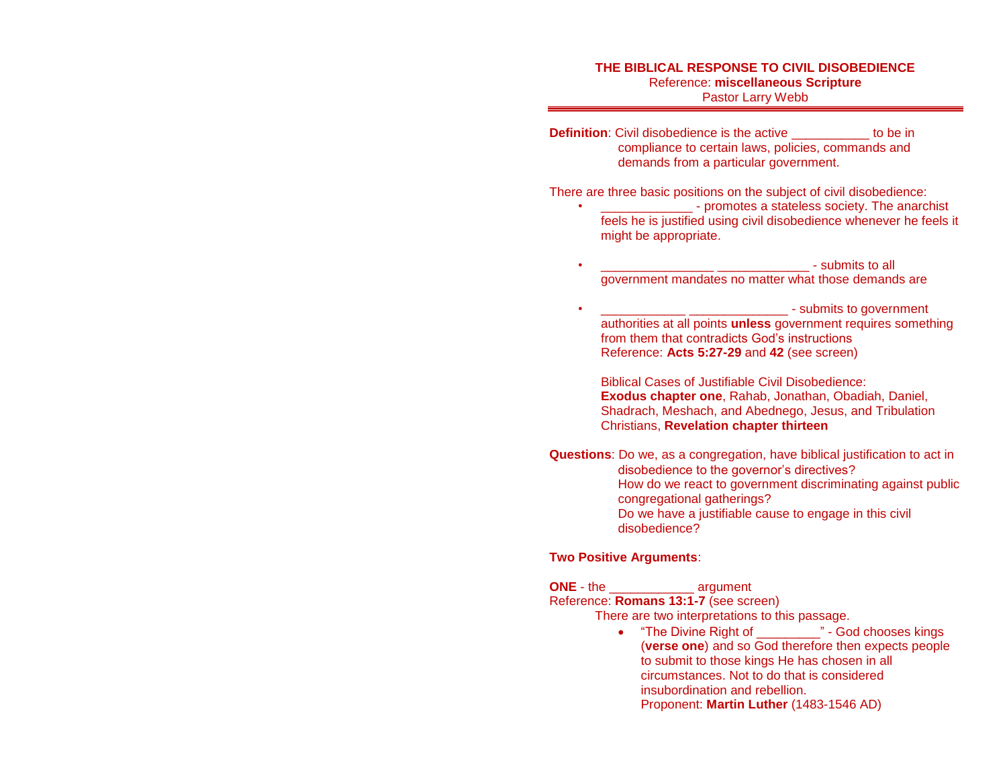**Definition**: Civil disobedience is the active **the independent of the independent of the in** compliance to certain laws, policies, commands and demands from a particular government.

There are three basic positions on the subject of civil disobedience:

- \_\_\_\_\_\_\_\_\_\_\_\_\_ promotes a stateless society. The anarchist feels he is justified using civil disobedience whenever he feels it might be appropriate.
- $\blacksquare$ government mandates no matter what those demands are

• \_\_\_\_\_\_\_\_\_\_\_\_ \_\_\_\_\_\_\_\_\_\_\_\_\_\_ - submits to government authorities at all points **unless** government requires something from them that contradicts God's instructions Reference: **Acts 5:27-29** and **42** (see screen)

Biblical Cases of Justifiable Civil Disobedience: **Exodus chapter one**, Rahab, Jonathan, Obadiah, Daniel, Shadrach, Meshach, and Abednego, Jesus, and Tribulation Christians, **Revelation chapter thirteen** 

**Questions**: Do we, as a congregation, have biblical justification to act in disobedience to the governor's directives? How do we react to government discriminating against public congregational gatherings? Do we have a justifiable cause to engage in this civil disobedience?

## **Two Positive Arguments**:

**ONE** - the \_\_\_\_\_\_\_\_\_\_\_\_ argument Reference: **Romans 13:1-7** (see screen)

There are two interpretations to this passage.

• "The Divine Right of " - God chooses kings (**verse one**) and so God therefore then expects people to submit to those kings He has chosen in all circumstances. Not to do that is considered insubordination and rebellion. Proponent: **Martin Luther** (1483-1546 AD)